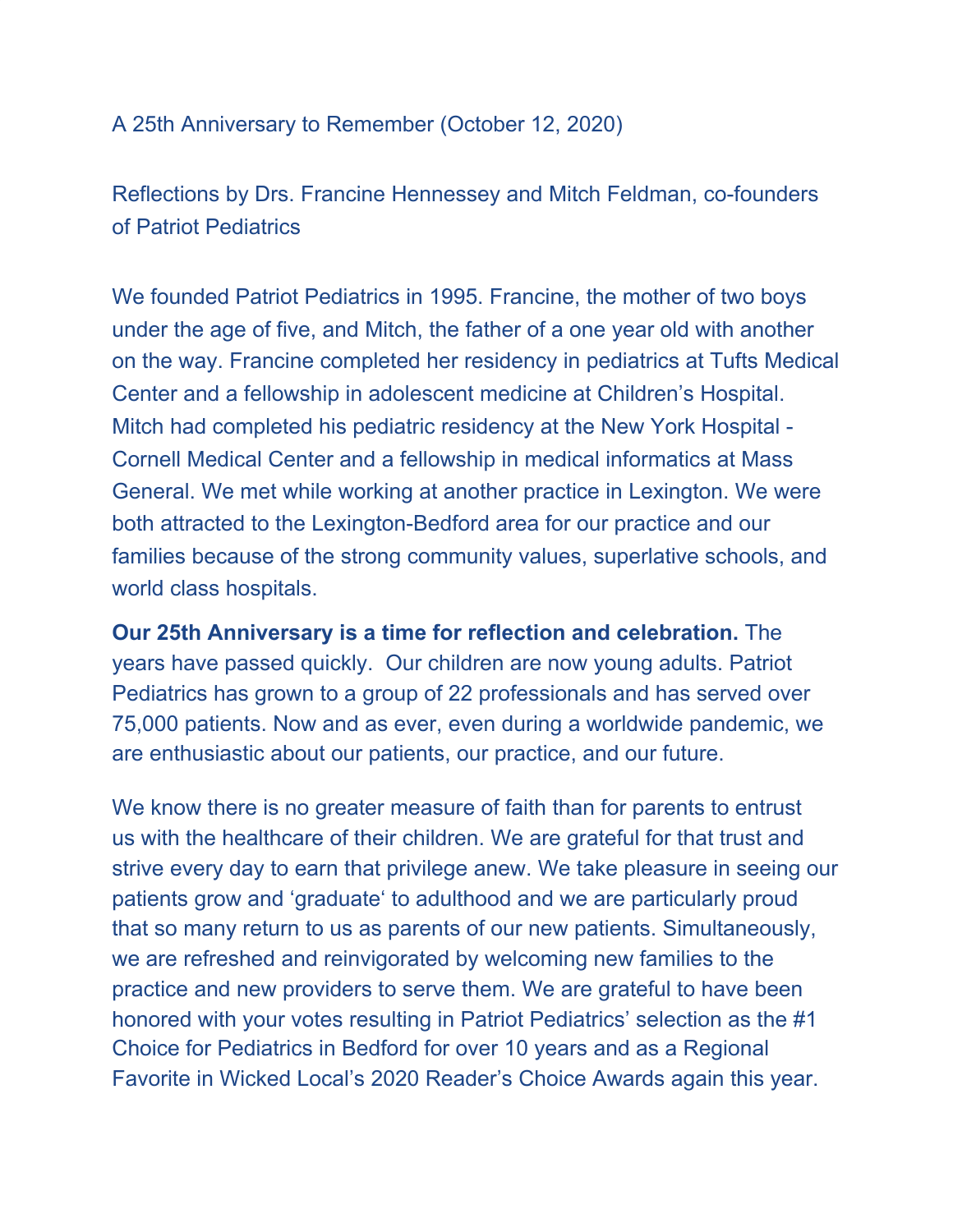## A 25th Anniversary to Remember (October 12, 2020)

Reflections by Drs. Francine Hennessey and Mitch Feldman, co-founders of Patriot Pediatrics

We founded Patriot Pediatrics in 1995. Francine, the mother of two boys under the age of five, and Mitch, the father of a one year old with another on the way. Francine completed her residency in pediatrics at Tufts Medical Center and a fellowship in adolescent medicine at Children's Hospital. Mitch had completed his pediatric residency at the New York Hospital - Cornell Medical Center and a fellowship in medical informatics at Mass General. We met while working at another practice in Lexington. We were both attracted to the Lexington-Bedford area for our practice and our families because of the strong community values, superlative schools, and world class hospitals.

**Our 25th Anniversary is a time for reflection and celebration.** The years have passed quickly. Our children are now young adults. Patriot Pediatrics has grown to a group of 22 professionals and has served over 75,000 patients. Now and as ever, even during a worldwide pandemic, we are enthusiastic about our patients, our practice, and our future.

We know there is no greater measure of faith than for parents to entrust us with the healthcare of their children. We are grateful for that trust and strive every day to earn that privilege anew. We take pleasure in seeing our patients grow and 'graduate' to adulthood and we are particularly proud that so many return to us as parents of our new patients. Simultaneously, we are refreshed and reinvigorated by welcoming new families to the practice and new providers to serve them. We are grateful to have been honored with your votes resulting in Patriot Pediatrics' selection as the #1 Choice for Pediatrics in Bedford for over 10 years and as a Regional Favorite in Wicked Local's 2020 Reader's Choice Awards again this year.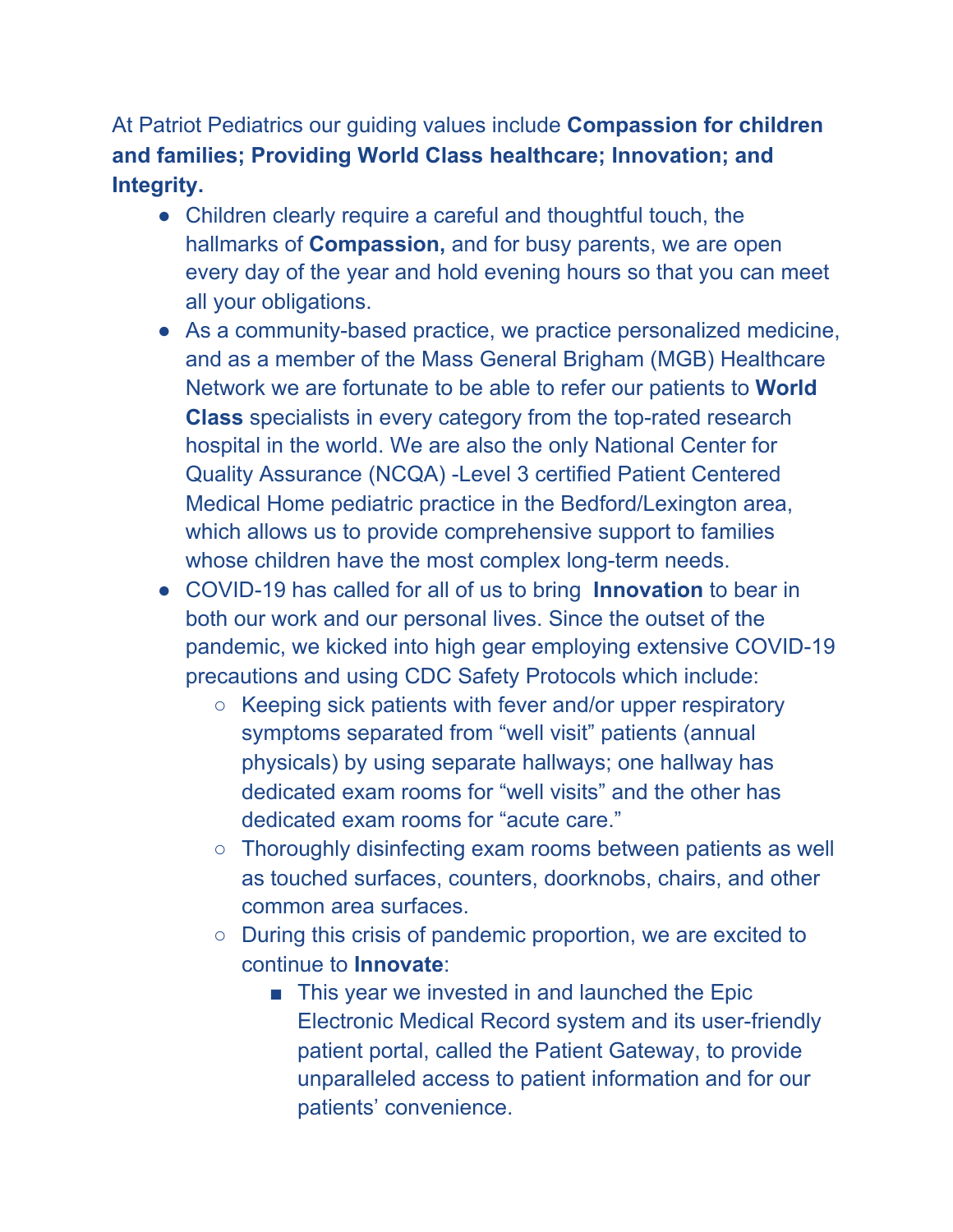At Patriot Pediatrics our guiding values include **Compassion for children and families; Providing World Class healthcare; Innovation; and Integrity.**

- **●** Children clearly require a careful and thoughtful touch, the hallmarks of **Compassion,** and for busy parents, we are open every day of the year and hold evening hours so that you can meet all your obligations.
- **●** As a community-based practice, we practice personalized medicine, and as a member of the Mass General Brigham (MGB) Healthcare Network we are fortunate to be able to refer our patients to **World Class** specialists in every category from the top-rated research hospital in the world. We are also the only National Center for Quality Assurance (NCQA) -Level 3 certified Patient Centered Medical Home pediatric practice in the Bedford/Lexington area, which allows us to provide comprehensive support to families whose children have the most complex long-term needs.
- **●** COVID-19 has called for all of us to bring **Innovation** to bear in both our work and our personal lives. Since the outset of the pandemic, we kicked into high gear employing extensive COVID-19 precautions and using CDC Safety Protocols which include:
	- Keeping sick patients with fever and/or upper respiratory symptoms separated from "well visit" patients (annual physicals) by using separate hallways; one hallway has dedicated exam rooms for "well visits" and the other has dedicated exam rooms for "acute care."
	- Thoroughly disinfecting exam rooms between patients as well as touched surfaces, counters, doorknobs, chairs, and other common area surfaces.
	- During this crisis of pandemic proportion, we are excited to continue to **Innovate**:
		- This year we invested in and launched the Epic Electronic Medical Record system and its user-friendly patient portal, called the Patient Gateway, to provide unparalleled access to patient information and for our patients' convenience.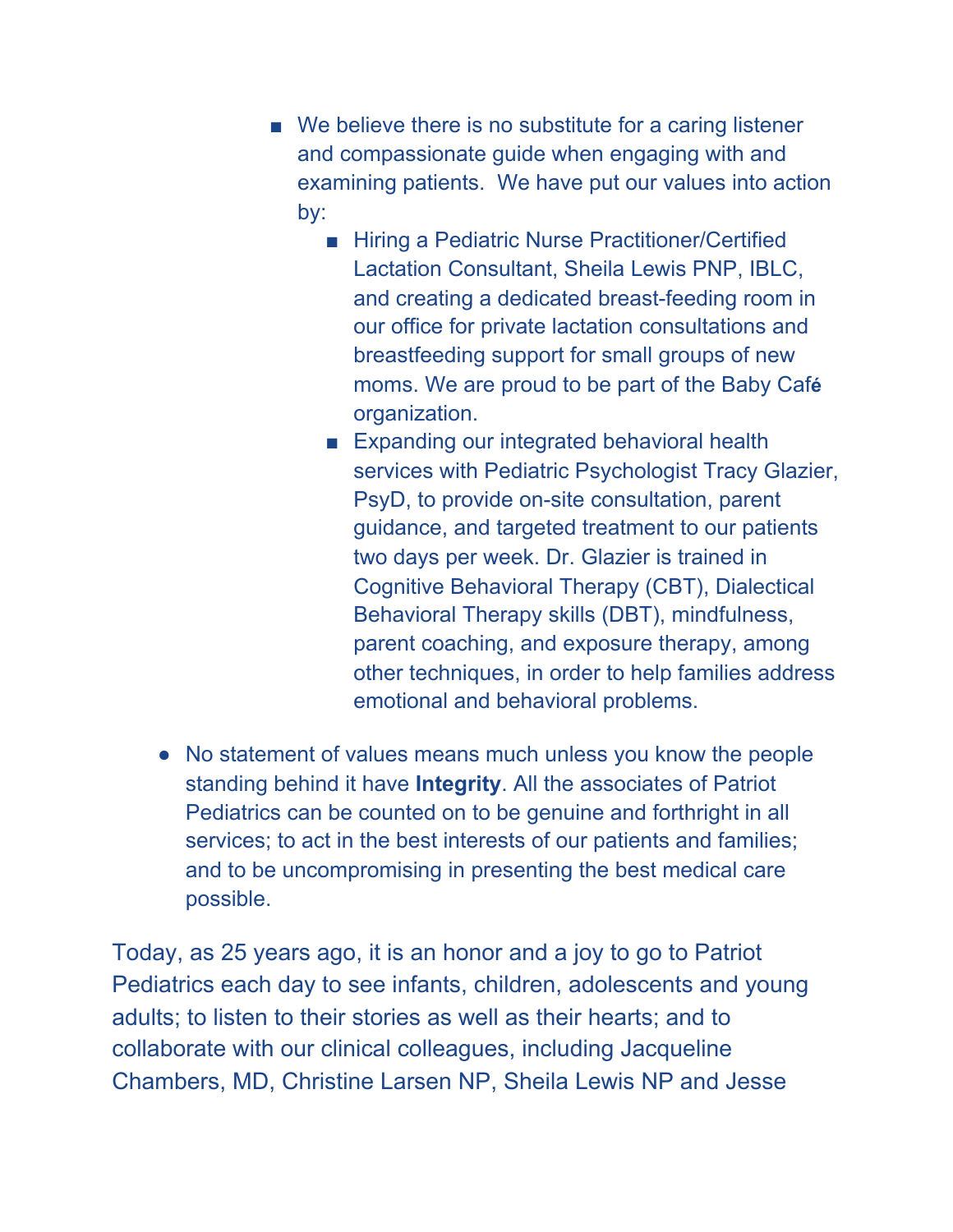- We believe there is no substitute for a caring listener and compassionate guide when engaging with and examining patients. We have put our values into action by:
	- Hiring a Pediatric Nurse Practitioner/Certified Lactation Consultant, Sheila Lewis PNP, IBLC, and creating a dedicated breast-feeding room in our office for private lactation consultations and breastfeeding support for small groups of new moms. We are proud to be part of the Baby Caf**é** organization.
	- Expanding our integrated behavioral health services with Pediatric Psychologist Tracy Glazier, PsyD, to provide on-site consultation, parent guidance, and targeted treatment to our patients two days per week. Dr. Glazier is trained in Cognitive Behavioral Therapy (CBT), Dialectical Behavioral Therapy skills (DBT), mindfulness, parent coaching, and exposure therapy, among other techniques, in order to help families address emotional and behavioral problems.
- **●** No statement of values means much unless you know the people standing behind it have **Integrity**. All the associates of Patriot Pediatrics can be counted on to be genuine and forthright in all services; to act in the best interests of our patients and families; and to be uncompromising in presenting the best medical care possible.

Today, as 25 years ago, it is an honor and a joy to go to Patriot Pediatrics each day to see infants, children, adolescents and young adults; to listen to their stories as well as their hearts; and to collaborate with our clinical colleagues, including Jacqueline Chambers, MD, Christine Larsen NP, Sheila Lewis NP and Jesse